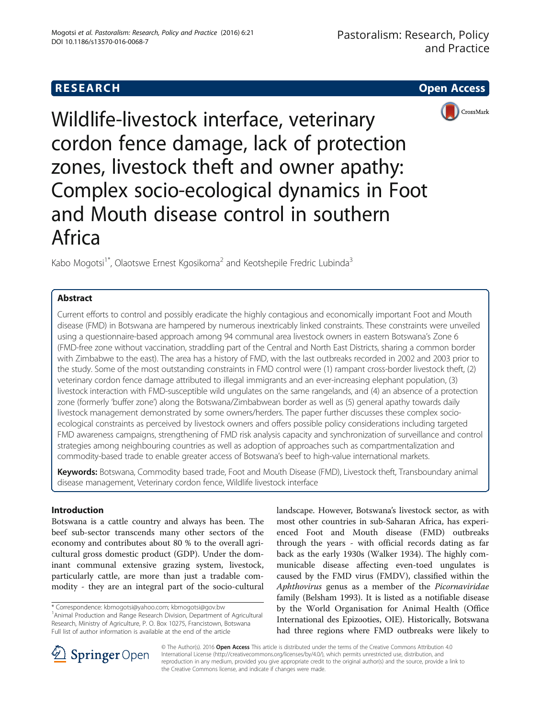



Wildlife-livestock interface, veterinary cordon fence damage, lack of protection zones, livestock theft and owner apathy: Complex socio-ecological dynamics in Foot and Mouth disease control in southern Africa

Kabo Mogotsi<sup>1\*</sup>, Olaotswe Ernest Kgosikoma<sup>2</sup> and Keotshepile Fredric Lubinda<sup>3</sup>

# Abstract

Current efforts to control and possibly eradicate the highly contagious and economically important Foot and Mouth disease (FMD) in Botswana are hampered by numerous inextricably linked constraints. These constraints were unveiled using a questionnaire-based approach among 94 communal area livestock owners in eastern Botswana's Zone 6 (FMD-free zone without vaccination, straddling part of the Central and North East Districts, sharing a common border with Zimbabwe to the east). The area has a history of FMD, with the last outbreaks recorded in 2002 and 2003 prior to the study. Some of the most outstanding constraints in FMD control were (1) rampant cross-border livestock theft, (2) veterinary cordon fence damage attributed to illegal immigrants and an ever-increasing elephant population, (3) livestock interaction with FMD-susceptible wild ungulates on the same rangelands, and (4) an absence of a protection zone (formerly 'buffer zone') along the Botswana/Zimbabwean border as well as (5) general apathy towards daily livestock management demonstrated by some owners/herders. The paper further discusses these complex socioecological constraints as perceived by livestock owners and offers possible policy considerations including targeted FMD awareness campaigns, strengthening of FMD risk analysis capacity and synchronization of surveillance and control strategies among neighbouring countries as well as adoption of approaches such as compartmentalization and commodity-based trade to enable greater access of Botswana's beef to high-value international markets.

Keywords: Botswana, Commodity based trade, Foot and Mouth Disease (FMD), Livestock theft, Transboundary animal disease management, Veterinary cordon fence, Wildlife livestock interface

# Introduction

Botswana is a cattle country and always has been. The beef sub-sector transcends many other sectors of the economy and contributes about 80 % to the overall agricultural gross domestic product (GDP). Under the dominant communal extensive grazing system, livestock, particularly cattle, are more than just a tradable commodity - they are an integral part of the socio-cultural landscape. However, Botswana's livestock sector, as with most other countries in sub-Saharan Africa, has experienced Foot and Mouth disease (FMD) outbreaks through the years - with official records dating as far back as the early 1930s (Walker [1934\)](#page-11-0). The highly communicable disease affecting even-toed ungulates is caused by the FMD virus (FMDV), classified within the Aphthovirus genus as a member of the Picornaviridae family (Belsham [1993](#page-9-0)). It is listed as a notifiable disease by the World Organisation for Animal Health (Office International des Epizooties, OIE). Historically, Botswana had three regions where FMD outbreaks were likely to



© The Author(s). 2016 Open Access This article is distributed under the terms of the Creative Commons Attribution 4.0 International License ([http://creativecommons.org/licenses/by/4.0/\)](http://creativecommons.org/licenses/by/4.0/), which permits unrestricted use, distribution, and reproduction in any medium, provided you give appropriate credit to the original author(s) and the source, provide a link to the Creative Commons license, and indicate if changes were made.

<sup>\*</sup> Correspondence: [kbmogotsi@yahoo.com](mailto:kbmogotsi@yahoo.com); [kbmogotsi@gov.bw](mailto:kbmogotsi@gov.bw) <sup>1</sup> <sup>1</sup> Animal Production and Range Research Division, Department of Agricultural Research, Ministry of Agriculture, P. O. Box 10275, Francistown, Botswana Full list of author information is available at the end of the article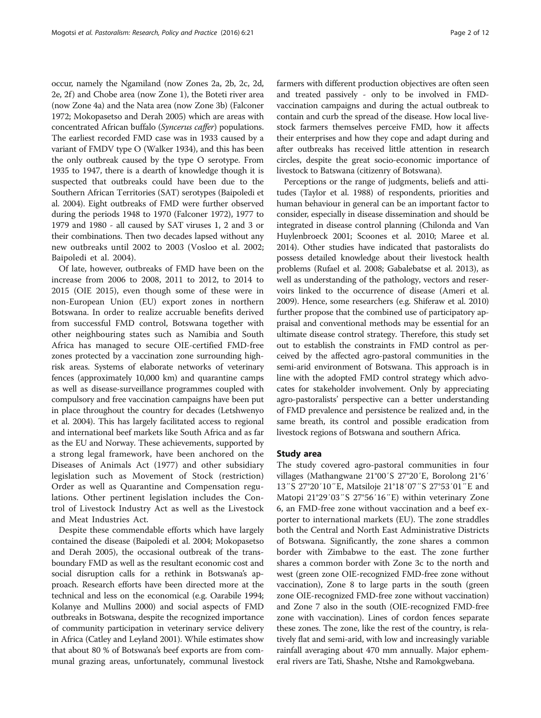occur, namely the Ngamiland (now Zones 2a, 2b, 2c, 2d, 2e, 2f) and Chobe area (now Zone 1), the Boteti river area (now Zone 4a) and the Nata area (now Zone 3b) (Falconer [1972;](#page-10-0) Mokopasetso and Derah [2005\)](#page-10-0) which are areas with concentrated African buffalo (Syncerus caffer) populations. The earliest recorded FMD case was in 1933 caused by a variant of FMDV type O (Walker [1934\)](#page-11-0), and this has been the only outbreak caused by the type O serotype. From 1935 to 1947, there is a dearth of knowledge though it is suspected that outbreaks could have been due to the Southern African Territories (SAT) serotypes (Baipoledi et al. [2004](#page-9-0)). Eight outbreaks of FMD were further observed during the periods 1948 to 1970 (Falconer [1972](#page-10-0)), 1977 to 1979 and 1980 - all caused by SAT viruses 1, 2 and 3 or their combinations. Then two decades lapsed without any new outbreaks until 2002 to 2003 (Vosloo et al. [2002](#page-11-0); Baipoledi et al. [2004](#page-9-0)).

Of late, however, outbreaks of FMD have been on the increase from 2006 to 2008, 2011 to 2012, to 2014 to 2015 (OIE [2015](#page-10-0)), even though some of these were in non-European Union (EU) export zones in northern Botswana. In order to realize accruable benefits derived from successful FMD control, Botswana together with other neighbouring states such as Namibia and South Africa has managed to secure OIE-certified FMD-free zones protected by a vaccination zone surrounding highrisk areas. Systems of elaborate networks of veterinary fences (approximately 10,000 km) and quarantine camps as well as disease-surveillance programmes coupled with compulsory and free vaccination campaigns have been put in place throughout the country for decades (Letshwenyo et al. [2004](#page-10-0)). This has largely facilitated access to regional and international beef markets like South Africa and as far as the EU and Norway. These achievements, supported by a strong legal framework, have been anchored on the Diseases of Animals Act (1977) and other subsidiary legislation such as Movement of Stock (restriction) Order as well as Quarantine and Compensation regulations. Other pertinent legislation includes the Control of Livestock Industry Act as well as the Livestock and Meat Industries Act.

Despite these commendable efforts which have largely contained the disease (Baipoledi et al. [2004;](#page-9-0) Mokopasetso and Derah [2005](#page-10-0)), the occasional outbreak of the transboundary FMD as well as the resultant economic cost and social disruption calls for a rethink in Botswana's approach. Research efforts have been directed more at the technical and less on the economical (e.g. Oarabile [1994](#page-10-0); Kolanye and Mullins [2000](#page-10-0)) and social aspects of FMD outbreaks in Botswana, despite the recognized importance of community participation in veterinary service delivery in Africa (Catley and Leyland [2001](#page-9-0)). While estimates show that about 80 % of Botswana's beef exports are from communal grazing areas, unfortunately, communal livestock farmers with different production objectives are often seen and treated passively - only to be involved in FMDvaccination campaigns and during the actual outbreak to contain and curb the spread of the disease. How local livestock farmers themselves perceive FMD, how it affects their enterprises and how they cope and adapt during and after outbreaks has received little attention in research circles, despite the great socio-economic importance of livestock to Batswana (citizenry of Botswana).

Perceptions or the range of judgments, beliefs and attitudes (Taylor et al. [1988](#page-11-0)) of respondents, priorities and human behaviour in general can be an important factor to consider, especially in disease dissemination and should be integrated in disease control planning (Chilonda and Van Huylenbroeck [2001;](#page-9-0) Scoones et al. [2010](#page-10-0); Maree et al. [2014](#page-10-0)). Other studies have indicated that pastoralists do possess detailed knowledge about their livestock health problems (Rufael et al. [2008;](#page-10-0) Gabalebatse et al. [2013](#page-10-0)), as well as understanding of the pathology, vectors and reservoirs linked to the occurrence of disease (Ameri et al. [2009](#page-9-0)). Hence, some researchers (e.g. Shiferaw et al. [2010](#page-10-0)) further propose that the combined use of participatory appraisal and conventional methods may be essential for an ultimate disease control strategy. Therefore, this study set out to establish the constraints in FMD control as perceived by the affected agro-pastoral communities in the semi-arid environment of Botswana. This approach is in line with the adopted FMD control strategy which advocates for stakeholder involvement. Only by appreciating agro-pastoralists' perspective can a better understanding of FMD prevalence and persistence be realized and, in the same breath, its control and possible eradication from livestock regions of Botswana and southern Africa.

## Study area

The study covered agro-pastoral communities in four villages (Mathangwane 21°00′S 27°20′E, Borolong 21°6′ 13″S 27°20′10″E, Matsiloje 21°18′07″S 27°53′01″E and Matopi 21°29′03″S 27°56′16″E) within veterinary Zone 6, an FMD-free zone without vaccination and a beef exporter to international markets (EU). The zone straddles both the Central and North East Administrative Districts of Botswana. Significantly, the zone shares a common border with Zimbabwe to the east. The zone further shares a common border with Zone 3c to the north and west (green zone OIE-recognized FMD-free zone without vaccination), Zone 8 to large parts in the south (green zone OIE-recognized FMD-free zone without vaccination) and Zone 7 also in the south (OIE-recognized FMD-free zone with vaccination). Lines of cordon fences separate these zones. The zone, like the rest of the country, is relatively flat and semi-arid, with low and increasingly variable rainfall averaging about 470 mm annually. Major ephemeral rivers are Tati, Shashe, Ntshe and Ramokgwebana.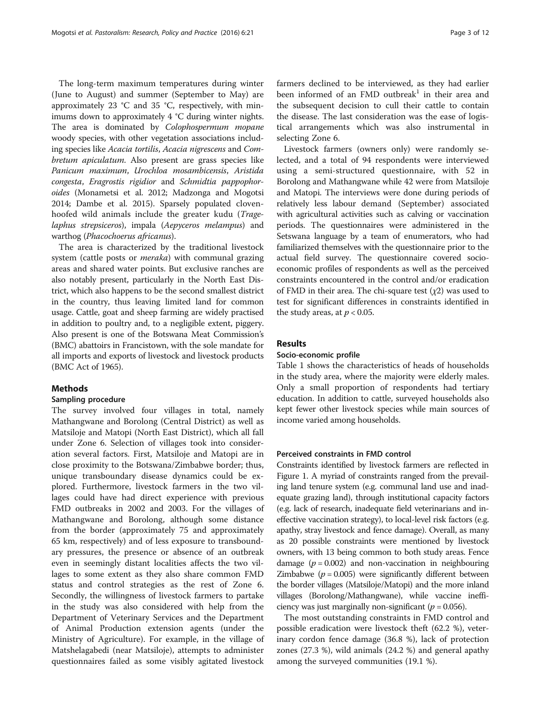The long-term maximum temperatures during winter (June to August) and summer (September to May) are approximately 23 °C and 35 °C, respectively, with minimums down to approximately 4 °C during winter nights. The area is dominated by Colophospermum mopane woody species, with other vegetation associations including species like Acacia tortilis, Acacia nigrescens and Combretum apiculatum. Also present are grass species like Panicum maximum, Urochloa mosambicensis, Aristida congesta, Eragrostis rigidior and Schmidtia pappophoroides (Monametsi et al. [2012](#page-10-0); Madzonga and Mogotsi [2014;](#page-10-0) Dambe et al. [2015](#page-9-0)). Sparsely populated clovenhoofed wild animals include the greater kudu (Tragelaphus strepsiceros), impala (Aepyceros melampus) and warthog (Phacochoerus africanus).

The area is characterized by the traditional livestock system (cattle posts or *meraka*) with communal grazing areas and shared water points. But exclusive ranches are also notably present, particularly in the North East District, which also happens to be the second smallest district in the country, thus leaving limited land for common usage. Cattle, goat and sheep farming are widely practised in addition to poultry and, to a negligible extent, piggery. Also present is one of the Botswana Meat Commission's (BMC) abattoirs in Francistown, with the sole mandate for all imports and exports of livestock and livestock products (BMC Act of 1965).

## **Methods**

## Sampling procedure

The survey involved four villages in total, namely Mathangwane and Borolong (Central District) as well as Matsiloje and Matopi (North East District), which all fall under Zone 6. Selection of villages took into consideration several factors. First, Matsiloje and Matopi are in close proximity to the Botswana/Zimbabwe border; thus, unique transboundary disease dynamics could be explored. Furthermore, livestock farmers in the two villages could have had direct experience with previous FMD outbreaks in 2002 and 2003. For the villages of Mathangwane and Borolong, although some distance from the border (approximately 75 and approximately 65 km, respectively) and of less exposure to transboundary pressures, the presence or absence of an outbreak even in seemingly distant localities affects the two villages to some extent as they also share common FMD status and control strategies as the rest of Zone 6. Secondly, the willingness of livestock farmers to partake in the study was also considered with help from the Department of Veterinary Services and the Department of Animal Production extension agents (under the Ministry of Agriculture). For example, in the village of Matshelagabedi (near Matsiloje), attempts to administer questionnaires failed as some visibly agitated livestock

farmers declined to be interviewed, as they had earlier been informed of an FMD outbreak<sup>1</sup> in their area and the subsequent decision to cull their cattle to contain the disease. The last consideration was the ease of logistical arrangements which was also instrumental in selecting Zone 6.

Livestock farmers (owners only) were randomly selected, and a total of 94 respondents were interviewed using a semi-structured questionnaire, with 52 in Borolong and Mathangwane while 42 were from Matsiloje and Matopi. The interviews were done during periods of relatively less labour demand (September) associated with agricultural activities such as calving or vaccination periods. The questionnaires were administered in the Setswana language by a team of enumerators, who had familiarized themselves with the questionnaire prior to the actual field survey. The questionnaire covered socioeconomic profiles of respondents as well as the perceived constraints encountered in the control and/or eradication of FMD in their area. The chi-square test  $(\chi^2)$  was used to test for significant differences in constraints identified in the study areas, at  $p < 0.05$ .

#### Results

#### Socio-economic profile

Table [1](#page-3-0) shows the characteristics of heads of households in the study area, where the majority were elderly males. Only a small proportion of respondents had tertiary education. In addition to cattle, surveyed households also kept fewer other livestock species while main sources of income varied among households.

## Perceived constraints in FMD control

Constraints identified by livestock farmers are reflected in Figure [1](#page-4-0). A myriad of constraints ranged from the prevailing land tenure system (e.g. communal land use and inadequate grazing land), through institutional capacity factors (e.g. lack of research, inadequate field veterinarians and ineffective vaccination strategy), to local-level risk factors (e.g. apathy, stray livestock and fence damage). Overall, as many as 20 possible constraints were mentioned by livestock owners, with 13 being common to both study areas. Fence damage ( $p = 0.002$ ) and non-vaccination in neighbouring Zimbabwe ( $p = 0.005$ ) were significantly different between the border villages (Matsiloje/Matopi) and the more inland villages (Borolong/Mathangwane), while vaccine inefficiency was just marginally non-significant ( $p = 0.056$ ).

The most outstanding constraints in FMD control and possible eradication were livestock theft (62.2 %), veterinary cordon fence damage (36.8 %), lack of protection zones (27.3 %), wild animals (24.2 %) and general apathy among the surveyed communities (19.1 %).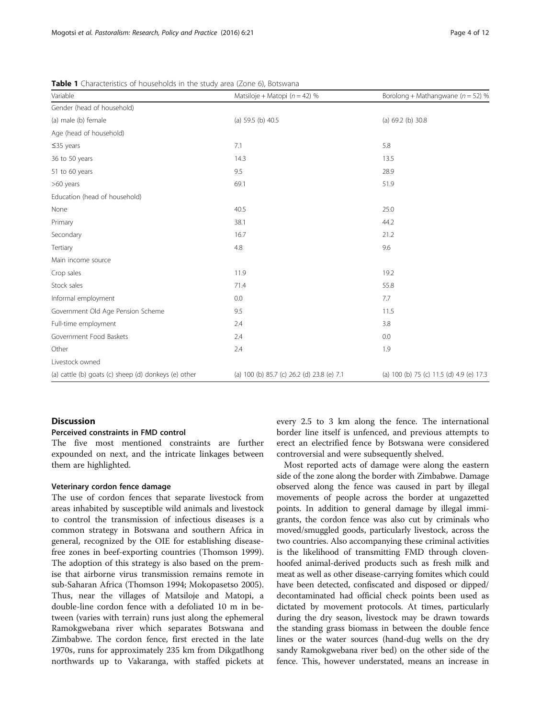| Variable                                             | Matsiloje + Matopi ( $n = 42$ ) %          | Borolong + Mathangwane ( $n = 52$ ) %    |
|------------------------------------------------------|--------------------------------------------|------------------------------------------|
| Gender (head of household)                           |                                            |                                          |
| (a) male (b) female                                  | (a) $59.5$ (b) $40.5$                      | (a) 69.2 (b) 30.8                        |
| Age (head of household)                              |                                            |                                          |
| $≤35$ years                                          | 7.1                                        | 5.8                                      |
| 36 to 50 years                                       | 14.3                                       | 13.5                                     |
| 51 to 60 years                                       | 9.5                                        | 28.9                                     |
| >60 years                                            | 69.1                                       | 51.9                                     |
| Education (head of household)                        |                                            |                                          |
| None                                                 | 40.5                                       | 25.0                                     |
| Primary                                              | 38.1                                       | 44.2                                     |
| Secondary                                            | 16.7                                       | 21.2                                     |
| Tertiary                                             | 4.8                                        | 9.6                                      |
| Main income source                                   |                                            |                                          |
| Crop sales                                           | 11.9                                       | 19.2                                     |
| Stock sales                                          | 71.4                                       | 55.8                                     |
| Informal employment                                  | 0.0                                        | 7.7                                      |
| Government Old Age Pension Scheme                    | 9.5                                        | 11.5                                     |
| Full-time employment                                 | 2.4                                        | 3.8                                      |
| Government Food Baskets                              | 2.4                                        | 0.0                                      |
| Other                                                | 2.4                                        | 1.9                                      |
| Livestock owned                                      |                                            |                                          |
| (a) cattle (b) goats (c) sheep (d) donkeys (e) other | (a) 100 (b) 85.7 (c) 26.2 (d) 23.8 (e) 7.1 | (a) 100 (b) 75 (c) 11.5 (d) 4.9 (e) 17.3 |

<span id="page-3-0"></span>Table 1 Characteristics of households in the study area (Zone 6), Botswana

## **Discussion**

## Perceived constraints in FMD control

The five most mentioned constraints are further expounded on next, and the intricate linkages between them are highlighted.

## Veterinary cordon fence damage

The use of cordon fences that separate livestock from areas inhabited by susceptible wild animals and livestock to control the transmission of infectious diseases is a common strategy in Botswana and southern Africa in general, recognized by the OIE for establishing diseasefree zones in beef-exporting countries (Thomson [1999](#page-11-0)). The adoption of this strategy is also based on the premise that airborne virus transmission remains remote in sub-Saharan Africa (Thomson [1994](#page-11-0); Mokopasetso [2005](#page-10-0)). Thus, near the villages of Matsiloje and Matopi, a double-line cordon fence with a defoliated 10 m in between (varies with terrain) runs just along the ephemeral Ramokgwebana river which separates Botswana and Zimbabwe. The cordon fence, first erected in the late 1970s, runs for approximately 235 km from Dikgatlhong northwards up to Vakaranga, with staffed pickets at every 2.5 to 3 km along the fence. The international border line itself is unfenced, and previous attempts to erect an electrified fence by Botswana were considered controversial and were subsequently shelved.

Most reported acts of damage were along the eastern side of the zone along the border with Zimbabwe. Damage observed along the fence was caused in part by illegal movements of people across the border at ungazetted points. In addition to general damage by illegal immigrants, the cordon fence was also cut by criminals who moved/smuggled goods, particularly livestock, across the two countries. Also accompanying these criminal activities is the likelihood of transmitting FMD through clovenhoofed animal-derived products such as fresh milk and meat as well as other disease-carrying fomites which could have been detected, confiscated and disposed or dipped/ decontaminated had official check points been used as dictated by movement protocols. At times, particularly during the dry season, livestock may be drawn towards the standing grass biomass in between the double fence lines or the water sources (hand-dug wells on the dry sandy Ramokgwebana river bed) on the other side of the fence. This, however understated, means an increase in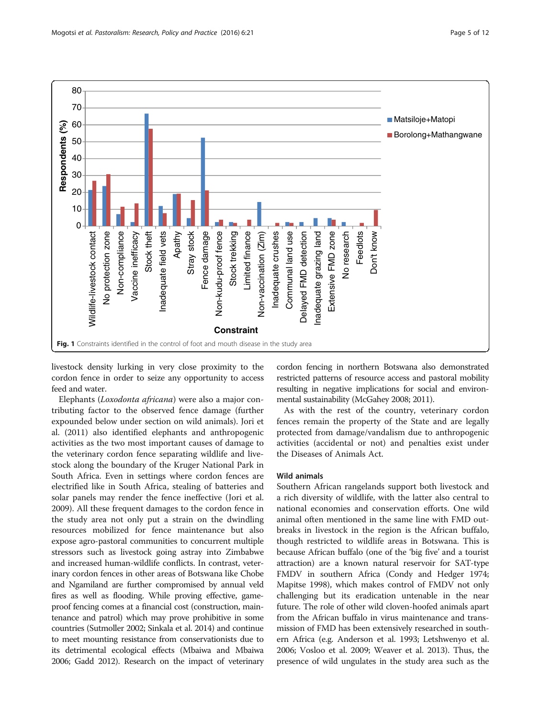<span id="page-4-0"></span>

livestock density lurking in very close proximity to the cordon fence in order to seize any opportunity to access feed and water.

Elephants (Loxodonta africana) were also a major contributing factor to the observed fence damage (further expounded below under section on wild animals). Jori et al. [\(2011\)](#page-10-0) also identified elephants and anthropogenic activities as the two most important causes of damage to the veterinary cordon fence separating wildlife and livestock along the boundary of the Kruger National Park in South Africa. Even in settings where cordon fences are electrified like in South Africa, stealing of batteries and solar panels may render the fence ineffective (Jori et al. [2009](#page-10-0)). All these frequent damages to the cordon fence in the study area not only put a strain on the dwindling resources mobilized for fence maintenance but also expose agro-pastoral communities to concurrent multiple stressors such as livestock going astray into Zimbabwe and increased human-wildlife conflicts. In contrast, veterinary cordon fences in other areas of Botswana like Chobe and Ngamiland are further compromised by annual veld fires as well as flooding. While proving effective, gameproof fencing comes at a financial cost (construction, maintenance and patrol) which may prove prohibitive in some countries (Sutmoller [2002](#page-11-0); Sinkala et al. [2014](#page-11-0)) and continue to meet mounting resistance from conservationists due to its detrimental ecological effects (Mbaiwa and Mbaiwa [2006;](#page-10-0) Gadd [2012](#page-10-0)). Research on the impact of veterinary cordon fencing in northern Botswana also demonstrated restricted patterns of resource access and pastoral mobility resulting in negative implications for social and environmental sustainability (McGahey [2008; 2011](#page-10-0)).

As with the rest of the country, veterinary cordon fences remain the property of the State and are legally protected from damage/vandalism due to anthropogenic activities (accidental or not) and penalties exist under the Diseases of Animals Act.

## Wild animals

Southern African rangelands support both livestock and a rich diversity of wildlife, with the latter also central to national economies and conservation efforts. One wild animal often mentioned in the same line with FMD outbreaks in livestock in the region is the African buffalo, though restricted to wildlife areas in Botswana. This is because African buffalo (one of the 'big five' and a tourist attraction) are a known natural reservoir for SAT-type FMDV in southern Africa (Condy and Hedger [1974](#page-9-0); Mapitse [1998](#page-10-0)), which makes control of FMDV not only challenging but its eradication untenable in the near future. The role of other wild cloven-hoofed animals apart from the African buffalo in virus maintenance and transmission of FMD has been extensively researched in southern Africa (e.g. Anderson et al. [1993](#page-9-0); Letshwenyo et al. [2006](#page-10-0); Vosloo et al. [2009;](#page-11-0) Weaver et al. [2013\)](#page-11-0). Thus, the presence of wild ungulates in the study area such as the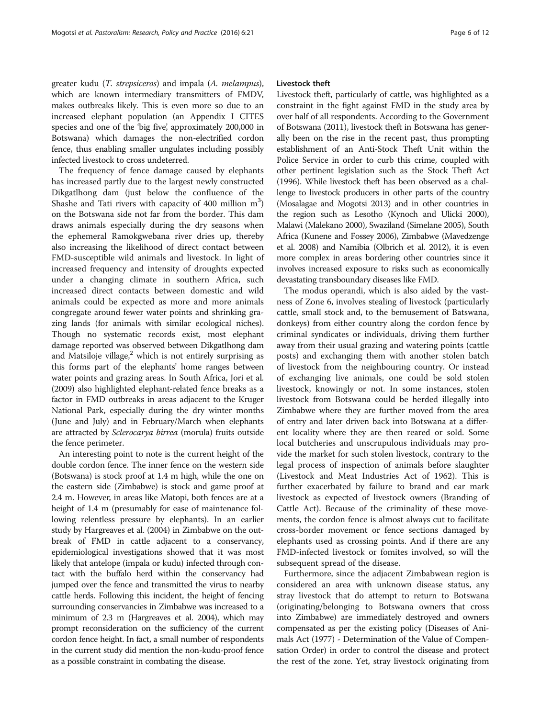greater kudu (T. strepsiceros) and impala (A. melampus), which are known intermediary transmitters of FMDV, makes outbreaks likely. This is even more so due to an increased elephant population (an Appendix I CITES species and one of the 'big five', approximately 200,000 in Botswana) which damages the non-electrified cordon fence, thus enabling smaller ungulates including possibly infected livestock to cross undeterred.

The frequency of fence damage caused by elephants has increased partly due to the largest newly constructed Dikgatlhong dam (just below the confluence of the Shashe and Tati rivers with capacity of  $400$  million  $m<sup>3</sup>$ ) on the Botswana side not far from the border. This dam draws animals especially during the dry seasons when the ephemeral Ramokgwebana river dries up, thereby also increasing the likelihood of direct contact between FMD-susceptible wild animals and livestock. In light of increased frequency and intensity of droughts expected under a changing climate in southern Africa, such increased direct contacts between domestic and wild animals could be expected as more and more animals congregate around fewer water points and shrinking grazing lands (for animals with similar ecological niches). Though no systematic records exist, most elephant damage reported was observed between Dikgatlhong dam and Matsiloje village, $^2$  which is not entirely surprising as this forms part of the elephants' home ranges between water points and grazing areas. In South Africa, Jori et al. ([2009](#page-10-0)) also highlighted elephant-related fence breaks as a factor in FMD outbreaks in areas adjacent to the Kruger National Park, especially during the dry winter months (June and July) and in February/March when elephants are attracted by Sclerocarya birrea (morula) fruits outside the fence perimeter.

An interesting point to note is the current height of the double cordon fence. The inner fence on the western side (Botswana) is stock proof at 1.4 m high, while the one on the eastern side (Zimbabwe) is stock and game proof at 2.4 m. However, in areas like Matopi, both fences are at a height of 1.4 m (presumably for ease of maintenance following relentless pressure by elephants). In an earlier study by Hargreaves et al. [\(2004](#page-10-0)) in Zimbabwe on the outbreak of FMD in cattle adjacent to a conservancy, epidemiological investigations showed that it was most likely that antelope (impala or kudu) infected through contact with the buffalo herd within the conservancy had jumped over the fence and transmitted the virus to nearby cattle herds. Following this incident, the height of fencing surrounding conservancies in Zimbabwe was increased to a minimum of 2.3 m (Hargreaves et al. [2004](#page-10-0)), which may prompt reconsideration on the sufficiency of the current cordon fence height. In fact, a small number of respondents in the current study did mention the non-kudu-proof fence as a possible constraint in combating the disease.

## Livestock theft

Livestock theft, particularly of cattle, was highlighted as a constraint in the fight against FMD in the study area by over half of all respondents. According to the Government of Botswana [\(2011\)](#page-10-0), livestock theft in Botswana has generally been on the rise in the recent past, thus prompting establishment of an Anti-Stock Theft Unit within the Police Service in order to curb this crime, coupled with other pertinent legislation such as the Stock Theft Act (1996). While livestock theft has been observed as a challenge to livestock producers in other parts of the country (Mosalagae and Mogotsi [2013](#page-10-0)) and in other countries in the region such as Lesotho (Kynoch and Ulicki [2000](#page-10-0)), Malawi (Malekano [2000](#page-10-0)), Swaziland (Simelane [2005\)](#page-10-0), South Africa (Kunene and Fossey [2006\)](#page-10-0), Zimbabwe (Mavedzenge et al. [2008\)](#page-10-0) and Namibia (Olbrich et al. [2012](#page-10-0)), it is even more complex in areas bordering other countries since it involves increased exposure to risks such as economically devastating transboundary diseases like FMD.

The modus operandi, which is also aided by the vastness of Zone 6, involves stealing of livestock (particularly cattle, small stock and, to the bemusement of Batswana, donkeys) from either country along the cordon fence by criminal syndicates or individuals, driving them further away from their usual grazing and watering points (cattle posts) and exchanging them with another stolen batch of livestock from the neighbouring country. Or instead of exchanging live animals, one could be sold stolen livestock, knowingly or not. In some instances, stolen livestock from Botswana could be herded illegally into Zimbabwe where they are further moved from the area of entry and later driven back into Botswana at a different locality where they are then reared or sold. Some local butcheries and unscrupulous individuals may provide the market for such stolen livestock, contrary to the legal process of inspection of animals before slaughter (Livestock and Meat Industries Act of 1962). This is further exacerbated by failure to brand and ear mark livestock as expected of livestock owners (Branding of Cattle Act). Because of the criminality of these movements, the cordon fence is almost always cut to facilitate cross-border movement or fence sections damaged by elephants used as crossing points. And if there are any FMD-infected livestock or fomites involved, so will the subsequent spread of the disease.

Furthermore, since the adjacent Zimbabwean region is considered an area with unknown disease status, any stray livestock that do attempt to return to Botswana (originating/belonging to Botswana owners that cross into Zimbabwe) are immediately destroyed and owners compensated as per the existing policy (Diseases of Animals Act (1977) - Determination of the Value of Compensation Order) in order to control the disease and protect the rest of the zone. Yet, stray livestock originating from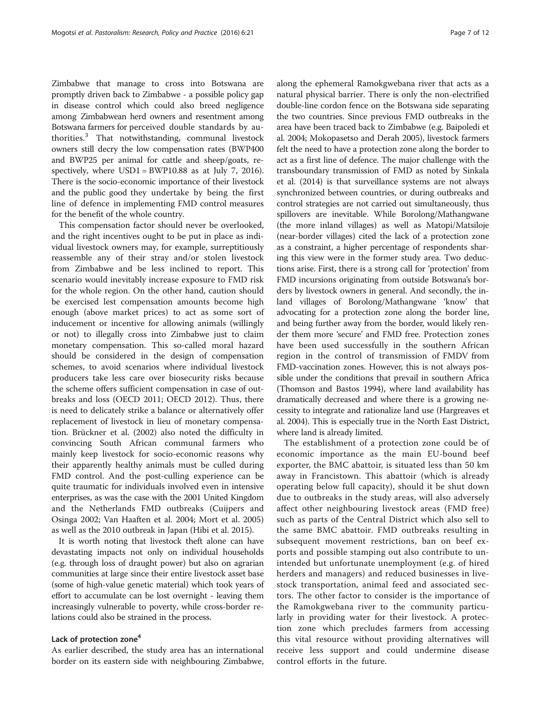Zimbabwe that manage to cross into Botswana are promptly driven back to Zimbabwe - a possible policy gap in disease control which could also breed negligence among Zimbabwean herd owners and resentment among Botswana farmers for perceived double standards by authorities.<sup>3</sup> That notwithstanding, communal livestock owners still decry the low compensation rates (BWP400 and BWP25 per animal for cattle and sheep/goats, respectively, where  $USD1 = BWP10.88$  as at July 7, 2016). There is the socio-economic importance of their livestock and the public good they undertake by being the first line of defence in implementing FMD control measures for the benefit of the whole country.

This compensation factor should never be overlooked, and the right incentives ought to be put in place as individual livestock owners may, for example, surreptitiously reassemble any of their stray and/or stolen livestock from Zimbabwe and be less inclined to report. This scenario would inevitably increase exposure to FMD risk for the whole region. On the other hand, caution should be exercised lest compensation amounts become high enough (above market prices) to act as some sort of inducement or incentive for allowing animals (willingly or not) to illegally cross into Zimbabwe just to claim monetary compensation. This so-called moral hazard should be considered in the design of compensation schemes, to avoid scenarios where individual livestock producers take less care over biosecurity risks because the scheme offers sufficient compensation in case of outbreaks and loss (OECD [2011;](#page-10-0) OECD [2012\)](#page-10-0). Thus, there is need to delicately strike a balance or alternatively offer replacement of livestock in lieu of monetary compensation. Brückner et al. ([2002\)](#page-9-0) also noted the difficulty in convincing South African communal farmers who mainly keep livestock for socio-economic reasons why their apparently healthy animals must be culled during FMD control. And the post-culling experience can be quite traumatic for individuals involved even in intensive enterprises, as was the case with the 2001 United Kingdom and the Netherlands FMD outbreaks (Cuijpers and Osinga [2002](#page-9-0); Van Haaften et al. [2004](#page-11-0); Mort et al. [2005](#page-10-0)) as well as the 2010 outbreak in Japan (Hibi et al. [2015](#page-10-0)).

It is worth noting that livestock theft alone can have devastating impacts not only on individual households (e.g. through loss of draught power) but also on agrarian communities at large since their entire livestock asset base (some of high-value genetic material) which took years of effort to accumulate can be lost overnight - leaving them increasingly vulnerable to poverty, while cross-border relations could also be strained in the process.

## Lack of protection zone<sup>4</sup>

As earlier described, the study area has an international border on its eastern side with neighbouring Zimbabwe, along the ephemeral Ramokgwebana river that acts as a natural physical barrier. There is only the non-electrified double-line cordon fence on the Botswana side separating the two countries. Since previous FMD outbreaks in the area have been traced back to Zimbabwe (e.g. Baipoledi et al. [2004;](#page-9-0) Mokopasetso and Derah [2005](#page-10-0)), livestock farmers felt the need to have a protection zone along the border to act as a first line of defence. The major challenge with the transboundary transmission of FMD as noted by Sinkala et al. [\(2014](#page-11-0)) is that surveillance systems are not always synchronized between countries, or during outbreaks and control strategies are not carried out simultaneously, thus spillovers are inevitable. While Borolong/Mathangwane (the more inland villages) as well as Matopi/Matsiloje (near-border villages) cited the lack of a protection zone as a constraint, a higher percentage of respondents sharing this view were in the former study area. Two deductions arise. First, there is a strong call for 'protection' from FMD incursions originating from outside Botswana's borders by livestock owners in general. And secondly, the inland villages of Borolong/Mathangwane 'know' that advocating for a protection zone along the border line, and being further away from the border, would likely render them more 'secure' and FMD free. Protection zones have been used successfully in the southern African region in the control of transmission of FMDV from FMD-vaccination zones. However, this is not always possible under the conditions that prevail in southern Africa (Thomson and Bastos [1994](#page-11-0)), where land availability has dramatically decreased and where there is a growing necessity to integrate and rationalize land use (Hargreaves et al. [2004\)](#page-10-0). This is especially true in the North East District, where land is already limited.

The establishment of a protection zone could be of economic importance as the main EU-bound beef exporter, the BMC abattoir, is situated less than 50 km away in Francistown. This abattoir (which is already operating below full capacity), should it be shut down due to outbreaks in the study areas, will also adversely affect other neighbouring livestock areas (FMD free) such as parts of the Central District which also sell to the same BMC abattoir. FMD outbreaks resulting in subsequent movement restrictions, ban on beef exports and possible stamping out also contribute to unintended but unfortunate unemployment (e.g. of hired herders and managers) and reduced businesses in livestock transportation, animal feed and associated sectors. The other factor to consider is the importance of the Ramokgwebana river to the community particularly in providing water for their livestock. A protection zone which precludes farmers from accessing this vital resource without providing alternatives will receive less support and could undermine disease control efforts in the future.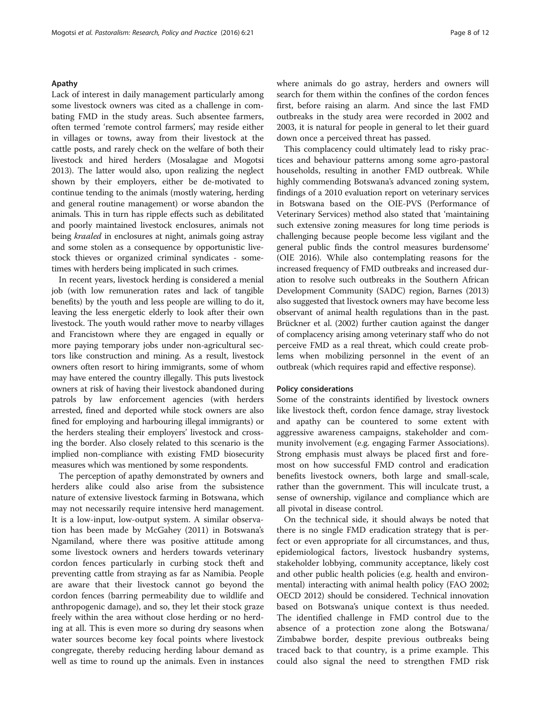#### Apathy

Lack of interest in daily management particularly among some livestock owners was cited as a challenge in combating FMD in the study areas. Such absentee farmers, often termed 'remote control farmers', may reside either in villages or towns, away from their livestock at the cattle posts, and rarely check on the welfare of both their livestock and hired herders (Mosalagae and Mogotsi [2013\)](#page-10-0). The latter would also, upon realizing the neglect shown by their employers, either be de-motivated to continue tending to the animals (mostly watering, herding and general routine management) or worse abandon the animals. This in turn has ripple effects such as debilitated and poorly maintained livestock enclosures, animals not being *kraaled* in enclosures at night, animals going astray and some stolen as a consequence by opportunistic livestock thieves or organized criminal syndicates - sometimes with herders being implicated in such crimes.

In recent years, livestock herding is considered a menial job (with low remuneration rates and lack of tangible benefits) by the youth and less people are willing to do it, leaving the less energetic elderly to look after their own livestock. The youth would rather move to nearby villages and Francistown where they are engaged in equally or more paying temporary jobs under non-agricultural sectors like construction and mining. As a result, livestock owners often resort to hiring immigrants, some of whom may have entered the country illegally. This puts livestock owners at risk of having their livestock abandoned during patrols by law enforcement agencies (with herders arrested, fined and deported while stock owners are also fined for employing and harbouring illegal immigrants) or the herders stealing their employers' livestock and crossing the border. Also closely related to this scenario is the implied non-compliance with existing FMD biosecurity measures which was mentioned by some respondents.

The perception of apathy demonstrated by owners and herders alike could also arise from the subsistence nature of extensive livestock farming in Botswana, which may not necessarily require intensive herd management. It is a low-input, low-output system. A similar observation has been made by McGahey ([2011\)](#page-10-0) in Botswana's Ngamiland, where there was positive attitude among some livestock owners and herders towards veterinary cordon fences particularly in curbing stock theft and preventing cattle from straying as far as Namibia. People are aware that their livestock cannot go beyond the cordon fences (barring permeability due to wildlife and anthropogenic damage), and so, they let their stock graze freely within the area without close herding or no herding at all. This is even more so during dry seasons when water sources become key focal points where livestock congregate, thereby reducing herding labour demand as well as time to round up the animals. Even in instances where animals do go astray, herders and owners will search for them within the confines of the cordon fences first, before raising an alarm. And since the last FMD outbreaks in the study area were recorded in 2002 and 2003, it is natural for people in general to let their guard down once a perceived threat has passed.

This complacency could ultimately lead to risky practices and behaviour patterns among some agro-pastoral households, resulting in another FMD outbreak. While highly commending Botswana's advanced zoning system, findings of a 2010 evaluation report on veterinary services in Botswana based on the OIE-PVS (Performance of Veterinary Services) method also stated that 'maintaining such extensive zoning measures for long time periods is challenging because people become less vigilant and the general public finds the control measures burdensome' (OIE [2016\)](#page-10-0). While also contemplating reasons for the increased frequency of FMD outbreaks and increased duration to resolve such outbreaks in the Southern African Development Community (SADC) region, Barnes [\(2013](#page-9-0)) also suggested that livestock owners may have become less observant of animal health regulations than in the past. Brückner et al. [\(2002](#page-9-0)) further caution against the danger of complacency arising among veterinary staff who do not perceive FMD as a real threat, which could create problems when mobilizing personnel in the event of an outbreak (which requires rapid and effective response).

#### Policy considerations

Some of the constraints identified by livestock owners like livestock theft, cordon fence damage, stray livestock and apathy can be countered to some extent with aggressive awareness campaigns, stakeholder and community involvement (e.g. engaging Farmer Associations). Strong emphasis must always be placed first and foremost on how successful FMD control and eradication benefits livestock owners, both large and small-scale, rather than the government. This will inculcate trust, a sense of ownership, vigilance and compliance which are all pivotal in disease control.

On the technical side, it should always be noted that there is no single FMD eradication strategy that is perfect or even appropriate for all circumstances, and thus, epidemiological factors, livestock husbandry systems, stakeholder lobbying, community acceptance, likely cost and other public health policies (e.g. health and environmental) interacting with animal health policy (FAO [2002](#page-10-0); OECD [2012](#page-10-0)) should be considered. Technical innovation based on Botswana's unique context is thus needed. The identified challenge in FMD control due to the absence of a protection zone along the Botswana/ Zimbabwe border, despite previous outbreaks being traced back to that country, is a prime example. This could also signal the need to strengthen FMD risk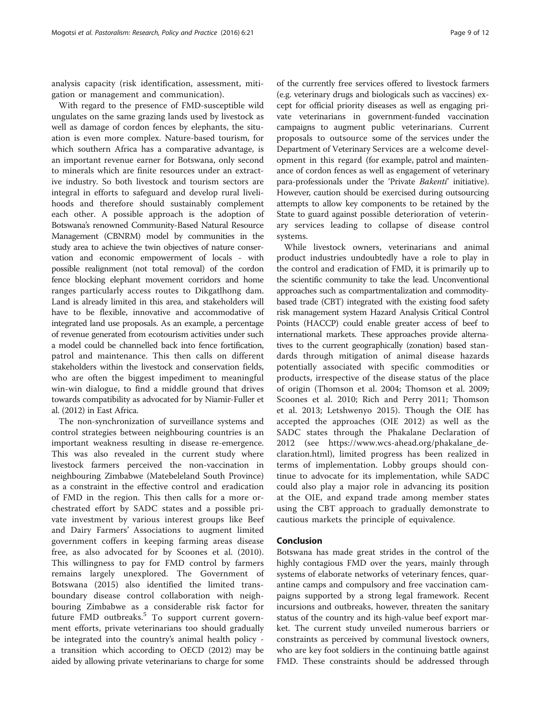analysis capacity (risk identification, assessment, mitigation or management and communication).

With regard to the presence of FMD-susceptible wild ungulates on the same grazing lands used by livestock as well as damage of cordon fences by elephants, the situation is even more complex. Nature-based tourism, for which southern Africa has a comparative advantage, is an important revenue earner for Botswana, only second to minerals which are finite resources under an extractive industry. So both livestock and tourism sectors are integral in efforts to safeguard and develop rural livelihoods and therefore should sustainably complement each other. A possible approach is the adoption of Botswana's renowned Community-Based Natural Resource Management (CBNRM) model by communities in the study area to achieve the twin objectives of nature conservation and economic empowerment of locals - with possible realignment (not total removal) of the cordon fence blocking elephant movement corridors and home ranges particularly access routes to Dikgatlhong dam. Land is already limited in this area, and stakeholders will have to be flexible, innovative and accommodative of integrated land use proposals. As an example, a percentage of revenue generated from ecotourism activities under such a model could be channelled back into fence fortification, patrol and maintenance. This then calls on different stakeholders within the livestock and conservation fields, who are often the biggest impediment to meaningful win-win dialogue, to find a middle ground that drives towards compatibility as advocated for by Niamir-Fuller et al. [\(2012\)](#page-10-0) in East Africa.

The non-synchronization of surveillance systems and control strategies between neighbouring countries is an important weakness resulting in disease re-emergence. This was also revealed in the current study where livestock farmers perceived the non-vaccination in neighbouring Zimbabwe (Matebeleland South Province) as a constraint in the effective control and eradication of FMD in the region. This then calls for a more orchestrated effort by SADC states and a possible private investment by various interest groups like Beef and Dairy Farmers' Associations to augment limited government coffers in keeping farming areas disease free, as also advocated for by Scoones et al. ([2010](#page-10-0)). This willingness to pay for FMD control by farmers remains largely unexplored. The Government of Botswana [\(2015](#page-10-0)) also identified the limited transboundary disease control collaboration with neighbouring Zimbabwe as a considerable risk factor for future FMD outbreaks.<sup>5</sup> To support current government efforts, private veterinarians too should gradually be integrated into the country's animal health policy a transition which according to OECD ([2012\)](#page-10-0) may be aided by allowing private veterinarians to charge for some

of the currently free services offered to livestock farmers (e.g. veterinary drugs and biologicals such as vaccines) except for official priority diseases as well as engaging private veterinarians in government-funded vaccination campaigns to augment public veterinarians. Current proposals to outsource some of the services under the Department of Veterinary Services are a welcome development in this regard (for example, patrol and maintenance of cordon fences as well as engagement of veterinary para-professionals under the 'Private Bakenti' initiative). However, caution should be exercised during outsourcing attempts to allow key components to be retained by the State to guard against possible deterioration of veterinary services leading to collapse of disease control systems.

While livestock owners, veterinarians and animal product industries undoubtedly have a role to play in the control and eradication of FMD, it is primarily up to the scientific community to take the lead. Unconventional approaches such as compartmentalization and commoditybased trade (CBT) integrated with the existing food safety risk management system Hazard Analysis Critical Control Points (HACCP) could enable greater access of beef to international markets. These approaches provide alternatives to the current geographically (zonation) based standards through mitigation of animal disease hazards potentially associated with specific commodities or products, irrespective of the disease status of the place of origin (Thomson et al. [2004;](#page-11-0) Thomson et al. [2009](#page-11-0); Scoones et al. [2010;](#page-10-0) Rich and Perry [2011](#page-10-0); Thomson et al. [2013;](#page-11-0) Letshwenyo [2015](#page-10-0)). Though the OIE has accepted the approaches (OIE [2012\)](#page-10-0) as well as the SADC states through the Phakalane Declaration of 2012 (see [https://www.wcs-ahead.org/phakalane\\_de](https://www.wcs-ahead.org/phakalane_declaration.html)[claration.html](https://www.wcs-ahead.org/phakalane_declaration.html)), limited progress has been realized in terms of implementation. Lobby groups should continue to advocate for its implementation, while SADC could also play a major role in advancing its position at the OIE, and expand trade among member states using the CBT approach to gradually demonstrate to cautious markets the principle of equivalence.

## Conclusion

Botswana has made great strides in the control of the highly contagious FMD over the years, mainly through systems of elaborate networks of veterinary fences, quarantine camps and compulsory and free vaccination campaigns supported by a strong legal framework. Recent incursions and outbreaks, however, threaten the sanitary status of the country and its high-value beef export market. The current study unveiled numerous barriers or constraints as perceived by communal livestock owners, who are key foot soldiers in the continuing battle against FMD. These constraints should be addressed through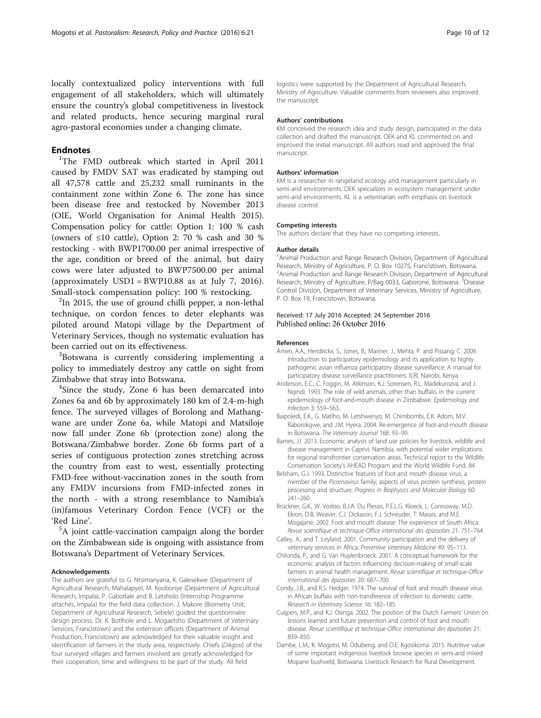## <span id="page-9-0"></span>**Endnotes**

<sup>1</sup>The FMD outbreak which started in April 2011 caused by FMDV SAT was eradicated by stamping out all 47,578 cattle and 25,232 small ruminants in the containment zone within Zone 6. The zone has since been disease free and restocked by November 2013 (OIE, World Organisation for Animal Health [2015](#page-10-0)). Compensation policy for cattle: Option 1: 100 % cash (owners of ≤10 cattle), Option 2: 70 % cash and 30 % restocking - with BWP1700.00 per animal irrespective of the age, condition or breed of the animal, but dairy cows were later adjusted to BWP7500.00 per animal (approximately  $USD1 = BWP10.88$  as at July 7, 2016). Small-stock compensation policy: 100 % restocking.

 $2$ In 2015, the use of ground chilli pepper, a non-lethal technique, on cordon fences to deter elephants was piloted around Matopi village by the Department of Veterinary Services, though no systematic evaluation has been carried out on its effectiveness.

<sup>3</sup>Botswana is currently considering implementing a policy to immediately destroy any cattle on sight from Zimbabwe that stray into Botswana. <sup>4</sup>

<sup>4</sup>Since the study, Zone 6 has been demarcated into Zones 6a and 6b by approximately 180 km of 2.4-m-high fence. The surveyed villages of Borolong and Mathangwane are under Zone 6a, while Matopi and Matsiloje now fall under Zone 6b (protection zone) along the Botswana/Zimbabwe border. Zone 6b forms part of a series of contiguous protection zones stretching across the country from east to west, essentially protecting FMD-free without-vaccination zones in the south from any FMDV incursions from FMD-infected zones in the north - with a strong resemblance to Namibia's (in)famous Veterinary Cordon Fence (VCF) or the 'Red Line'.

<sup>5</sup>A joint cattle-vaccination campaign along the border on the Zimbabwean side is ongoing with assistance from Botswana's Department of Veterinary Services.

#### Acknowledgements

The authors are grateful to G. Ntsimanyana, K. Galesekwe (Department of Agricultural Research, Mahalapye), M. Koobonye (Department of Agricultural Research, Impala), P. Gabotlale and B. Letsholo (Internship Programme attachés, Impala) for the field data collection. J. Makore (Biometry Unit, Department of Agricultural Research, Sebele) guided the questionnaire design process. Dr. K. Botlhole and L. Mogaetsho (Department of Veterinary Services, Francistown) and the extension officers (Department of Animal Production, Francistown) are acknowledged for their valuable insight and identification of farmers in the study area, respectively. Chiefs (Dikgosi) of the four surveyed villages and farmers involved are greatly acknowledged for their cooperation, time and willingness to be part of the study. All field

logistics were supported by the Department of Agricultural Research, Ministry of Agriculture. Valuable comments from reviewers also improved the manuscript.

#### Authors' contributions

KM conceived the research idea and study design, participated in the data collection and drafted the manuscript. OEK and KL commented on and improved the initial manuscript. All authors read and approved the final manuscript.

#### Authors' information

KM is a researcher in rangeland ecology and management particularly in semi-arid environments. OEK specializes in ecosystem management under semi-arid environments. KL is a veterinarian with emphasis on livestock disease control.

#### Competing interests

The authors declare that they have no competing interests.

#### Author details

<sup>1</sup> Animal Production and Range Research Division, Department of Agricultural Research, Ministry of Agriculture, P. O. Box 10275, Francistown, Botswana. <sup>2</sup> Animal Production and Range Research Division, Department of Agricultural Research, Ministry of Agriculture, P/Bag 0033, Gaborone, Botswana. <sup>3</sup>Disease Control Division, Department of Veterinary Services, Ministry of Agriculture, P. O. Box 19, Francistown, Botswana.

#### Received: 17 July 2016 Accepted: 24 September 2016 Published online: 26 October 2016

#### References

- Ameri, A.A., Hendrickx, S., Jones, B., Mariner, J., Mehta, P. and Pissang, C. 2009. Introduction to participatory epidemiology and its application to highly pathogenic avian influenza participatory disease surveillance: A manual for participatory disease surveillance practitioners. ILRI, Nairobi, Kenya.
- Anderson, E.C., C. Foggin, M. Atkinson, K.J. Sorensen, R.L. Madekurozva, and J. Nqindi. 1993. The role of wild animals, other than buffalo, in the current epidemiology of foot-and-mouth disease in Zimbabwe. Epidemiology and Infection 3: 559–563.
- Baipoledi, E.K., G. Matlho, M. Letshwenyo, M. Chimbombi, E.K. Adom, M.V. Raborokgwe, and J.M. Hyera. 2004. Re-emergence of foot-and-mouth disease in Botswana. The Veterinary Journal 168: 93–99.
- Barnes, J.I. 2013. Economic analysis of land use policies for livestock, wildlife and disease management in Caprivi, Namibia, with potential wider implications for regional transfrontier conservation areas. Technical report to the Wildlife Conservation Society's AHEAD Program and the World Wildlife Fund. 84
- Belsham, G.J. 1993. Distinctive features of foot-and mouth disease virus, a member of the Picornavirus family; aspects of virus protein synthesis, protein processing and structure. Progress in Biophysics and Molecular Biology 60: 241–260.
- Brückner, G.K., W. Vosloo, B.J.A. Du Plessis, P.E.L.G. Kloeck, L. Connoway, M.D. Ekron, D.B. Weaver, C.J. Dickason, F.J. Schreuder, T. Marais, and M.E. Mogajane. 2002. Foot and mouth disease: The experience of South Africa. Revue scientifique et technique-Office international des épizooties 21: 751–764.
- Catley, A., and T. Leyland. 2001. Community participation and the delivery of veterinary services in Africa. Preventive Veterinary Medicine 49: 95–113.
- Chilonda, P., and G. Van Huylenbroeck. 2001. A conceptual framework for the economic analysis of factors influencing decision-making of small-scale farmers in animal health management. Revue scientifique et technique-Office international des épizooties 20: 687–700.
- Condy, J.B., and R.S. Hedger. 1974. The survival of foot and mouth disease virus in African buffalo with non-transference of infection to domestic cattle. Research in Veterinary Science 16: 182–185.
- Cuijpers, M.P., and K.J. Osinga. 2002. The position of the Dutch Farmers' Union on lessons learned and future prevention and control of foot and mouth disease. Revue scientifique et technique-Office international des épizooties 21: 839–850.
- Dambe, L.M., K. Mogotsi, M. Odubeng, and O.E. Kgosikoma. 2015. Nutritive value of some important indigenous livestock browse species in semi-arid mixed Mopane bushveld, Botswana. Livestock Research for Rural Development.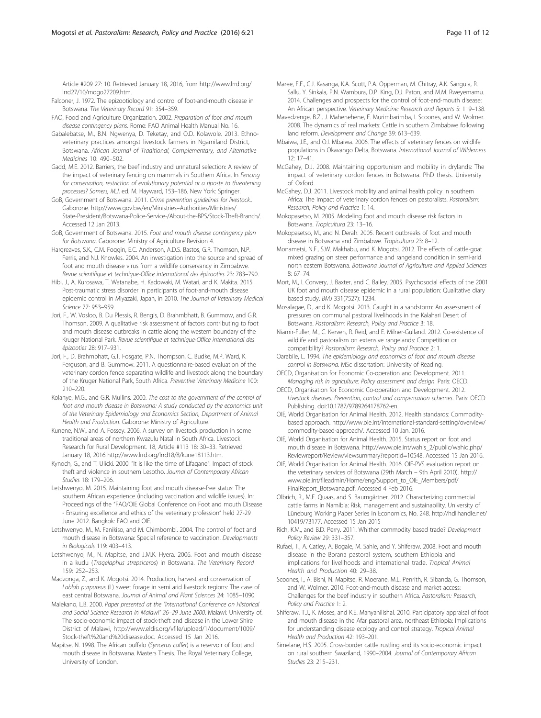<span id="page-10-0"></span>Article #209 27: 10. Retrieved January 18, 2016, from [http://www.lrrd.org/](http://www.lrrd.org/lrrd27/10/mogo27209.htm) [lrrd27/10/mogo27209.htm.](http://www.lrrd.org/lrrd27/10/mogo27209.htm)

- Falconer, J. 1972. The epizootiology and control of foot-and-mouth disease in Botswana. The Veterinary Record 91: 354–359.
- FAO, Food and Agriculture Organization. 2002. Preparation of foot and mouth disease contingency plans. Rome: FAO Animal Health Manual No. 16.
- Gabalebatse, M., B.N. Ngwenya, D. Teketay, and O.D. Kolawole. 2013. Ethnoveterinary practices amongst livestock farmers in Ngamiland District, Botswana. African Journal of Traditional, Complementary, and Alternative Medicines 10: 490–502.
- Gadd, M.E. 2012. Barriers, the beef industry and unnatural selection: A review of the impact of veterinary fencing on mammals in Southern Africa. In Fencing for conservation, restriction of evolutionary potential or a riposte to threatening processes? Somers, M.J, ed. M. Hayward, 153–186. New York: Springer.
- GoB, Government of Botswana. 2011. Crime prevention guidelines for livestock.. Gaborone. http://www.gov.bw/en/Ministries–Authorities/Ministries/ State-President/Botswana-Police-Service-/About-the-BPS/Stock-Theft-Branch/. Accessed 12 Jan 2013.
- GoB, Government of Botswana. 2015. Foot and mouth disease contingency plan for Botswana. Gaborone: Ministry of Agriculture Revision 4.
- Hargreaves, S.K., C.M. Foggin, E.C. Anderson, A.D.S. Bastos, G.R. Thomson, N.P. Ferris, and N.J. Knowles. 2004. An investigation into the source and spread of foot and mouth disease virus from a wildlife conservancy in Zimbabwe. Revue scientifique et technique-Office international des épizooties 23: 783–790.
- Hibi, J., A. Kurosawa, T. Watanabe, H. Kadowaki, M. Watari, and K. Makita. 2015. Post-traumatic stress disorder in participants of foot-and-mouth disease epidemic control in Miyazaki, Japan, in 2010. The Journal of Veterinary Medical Science 77: 953–959.
- Jori, F., W. Vosloo, B. Du Plessis, R. Bengis, D. Brahmbhatt, B. Gummow, and G.R. Thomson. 2009. A qualitative risk assessment of factors contributing to foot and mouth disease outbreaks in cattle along the western boundary of the Kruger National Park. Revue scientifique et technique-Office international des épizooties 28: 917–931.
- Jori, F., D. Brahmbhatt, G.T. Fosgate, P.N. Thompson, C. Budke, M.P. Ward, K. Ferguson, and B. Gummow. 2011. A questionnaire-based evaluation of the veterinary cordon fence separating wildlife and livestock along the boundary of the Kruger National Park, South Africa. Preventive Veterinary Medicine 100: 210–220.
- Kolanye, M.G., and G.R. Mullins. 2000. The cost to the government of the control of foot and mouth disease in Botswana: A study conducted by the economics unit of the Veterinary Epidemiology and Economics Section, Department of Animal Health and Production. Gaborone: Ministry of Agriculture.
- Kunene, N.W., and A. Fossey. 2006. A survey on livestock production in some traditional areas of northern Kwazulu Natal in South Africa. Livestock Research for Rural Development. 18, Article #113 18: 30–33. Retrieved January 18, 2016<http://www.lrrd.org/lrrd18/8/kune18113.htm>.
- Kynoch, G., and T. Ulicki. 2000. "It is like the time of Lifaqane": Impact of stock theft and violence in southern Lesotho. Journal of Contemporary African Studies 18: 179–206.
- Letshwenyo, M. 2015. Maintaining foot and mouth disease-free status: The southern African experience (including vaccination and wildlife issues). In: Proceedings of the "FAO/OIE Global Conference on Foot and mouth Disease - Ensuring excellence and ethics of the veterinary profession" held 27-29 June 2012. Bangkok: FAO and OIE.
- Letshwenyo, M., M. Fanikiso, and M. Chimbombi. 2004. The control of foot and mouth disease in Botswana: Special reference to vaccination. Developments in Biologicals 119: 403–413.
- Letshwenyo, M., N. Mapitse, and J.M.K. Hyera. 2006. Foot and mouth disease in a kudu (Tragelaphus strepsiceros) in Botswana. The Veterinary Record 159: 252–253.
- Madzonga, Z., and K. Mogotsi. 2014. Production, harvest and conservation of Lablab purpureus (L) sweet forage in semi arid livestock regions: The case of east central Botswana. Journal of Animal and Plant Sciences 24: 1085–1090.
- Malekano, L.B. 2000. Paper presented at the "International Conference on Historical and Social Science Research in Malawi" 26–29 June 2000. Malawi: University of. The socio-economic impact of stock-theft and disease in the Lower Shire District of Malawi, [http://www.eldis.org/vfile/upload/1/document/1009/](http://www.eldis.org/vfile/upload/1/document/1009/Stock-theft%20and%20disease.doc) [Stock-theft%20and%20disease.doc.](http://www.eldis.org/vfile/upload/1/document/1009/Stock-theft%20and%20disease.doc) Accessed 15 Jan 2016.
- Mapitse, N. 1998. The African buffalo (Syncerus caffer) is a reservoir of foot and mouth disease in Botswana. Masters Thesis. The Royal Veterinary College, University of London.
- Maree, F.F., C.J. Kasanga, K.A. Scott, P.A. Opperman, M. Chitray, A.K. Sangula, R. Sallu, Y. Sinkala, P.N. Wambura, D.P. King, D.J. Paton, and M.M. Rweyemamu. 2014. Challenges and prospects for the control of foot-and-mouth disease: An African perspective. Veterinary Medicine: Research and Reports 5: 119–138.
- Mavedzenge, B.Z., J. Mahenehene, F. Murimbarimba, I. Scoones, and W. Wolmer. 2008. The dynamics of real markets: Cattle in southern Zimbabwe following land reform. Development and Change 39: 613–639.
- Mbaiwa, J.E., and O.I. Mbaiwa. 2006. The effects of veterinary fences on wildlife populations in Okavango Delta, Botswana. International Journal of Wilderness 12: 17–41.
- McGahey, D.J. 2008. Maintaining opportunism and mobility in drylands: The impact of veterinary cordon fences in Botswana. PhD thesis. University of Oxford.
- McGahey, D.J. 2011. Livestock mobility and animal health policy in southern Africa: The impact of veterinary cordon fences on pastoralists. Pastoralism: Research, Policy and Practice 1: 14.
- Mokopasetso, M. 2005. Modeling foot and mouth disease risk factors in Botswana. Tropicultura 23: 13–16.
- Mokopasetso, M., and N. Derah. 2005. Recent outbreaks of foot and mouth disease in Botswana and Zimbabwe. Tropicultura 23: 8–12.
- Monametsi, N.F., S.W. Makhabu, and K. Mogotsi. 2012. The effects of cattle-goat mixed grazing on steer performance and rangeland condition in semi-arid north eastern Botswana. Botswana Journal of Agriculture and Applied Sciences 8: 67–74.
- Mort, M., I. Convery, J. Baxter, and C. Bailey. 2005. Psychosocial effects of the 2001 UK foot and mouth disease epidemic in a rural population: Qualitative diary based study. BMJ 331(7527): 1234.
- Mosalagae, D., and K. Mogotsi. 2013. Caught in a sandstorm: An assessment of pressures on communal pastoral livelihoods in the Kalahari Desert of Botswana. Pastoralism: Research, Policy and Practice 3: 18.
- Niamir-Fuller, M., C. Kerven, R. Reid, and E. Milner-Gulland. 2012. Co-existence of wildlife and pastoralism on extensive rangelands: Competition or compatibility? Pastoralism: Research, Policy and Practice 2: 1.
- Oarabile, L. 1994. The epidemiology and economics of foot and mouth disease control in Botswana. MSc dissertation: University of Reading.
- OECD, Organisation for Economic Co-operation and Development. 2011. Managing risk in agriculture: Policy assessment and design. Paris: OECD.
- OECD, Organisation for Economic Co-operation and Development. 2012. Livestock diseases: Prevention, control and compensation schemes. Paris: OECD Publishing. doi:[10.1787/9789264178762-en.](http://dx.doi.org/10.1787/9789264178762-en)
- OIE, World Organisation for Animal Health. 2012. Health standards: Commoditybased approach. [http://www.oie.int/international-standard-setting/overview/](http://www.oie.int/international-standard-setting/overview/commodity-based-approach/) [commodity-based-approach/.](http://www.oie.int/international-standard-setting/overview/commodity-based-approach/) Accessed 10 Jan. 2016.
- OIE, World Organisation for Animal Health. 2015. Status report on foot and mouth disease in Botswana. [http://www.oie.int/wahis\\_2/public/wahid.php/](http://www.oie.int/wahis_2/public/wahid.php/Reviewreport/Review/viewsummary?reportid=10548) [Reviewreport/Review/viewsummary?reportid=10548](http://www.oie.int/wahis_2/public/wahid.php/Reviewreport/Review/viewsummary?reportid=10548). Accessed 15 Jan 2016.
- OIE, World Organisation for Animal Health. 2016. OIE-PVS evaluation report on the veterinary services of Botswana (29th March – 9th April 2010). [http://](http://www.oie.int/fileadmin/Home/eng/Support_to_OIE_Members/pdf/FinalReport_Botswana.pdf) [www.oie.int/fileadmin/Home/eng/Support\\_to\\_OIE\\_Members/pdf/](http://www.oie.int/fileadmin/Home/eng/Support_to_OIE_Members/pdf/FinalReport_Botswana.pdf) [FinalReport\\_Botswana.pdf](http://www.oie.int/fileadmin/Home/eng/Support_to_OIE_Members/pdf/FinalReport_Botswana.pdf). Accessed 4 Feb 2016.
- Olbrich, R., M.F. Quaas, and S. Baumgärtner. 2012. Characterizing commercial cattle farms in Namibia: Risk, management and sustainability. University of Lüneburg Working Paper Series in Economics, No. 248. http://hdl.handle.net/ 10419/73177. Accessed 15 Jan 2015
- Rich, K.M., and B.D. Perry. 2011. Whither commodity based trade? Development Policy Review 29: 331–357.
- Rufael, T., A. Catley, A. Bogale, M. Sahle, and Y. Shiferaw. 2008. Foot and mouth disease in the Borana pastoral system, southern Ethiopia and implications for livelihoods and international trade. Tropical Animal Health and Production 40: 29–38.
- Scoones, I., A. Bishi, N. Mapitse, R. Moerane, M.L. Penrith, R. Sibanda, G. Thomson, and W. Wolmer. 2010. Foot-and-mouth disease and market access: Challenges for the beef industry in southern Africa. Pastoralism: Research, Policy and Practice 1: 2.
- Shiferaw, T.J., K. Moses, and K.E. Manyahilishal. 2010. Participatory appraisal of foot and mouth disease in the Afar pastoral area, northeast Ethiopia: Implications for understanding disease ecology and control strategy. Tropical Animal Health and Production 42: 193–201.
- Simelane, H.S. 2005. Cross-border cattle rustling and its socio-economic impact on rural southern Swaziland, 1990–2004. Journal of Contemporary African Studies 23: 215–231.